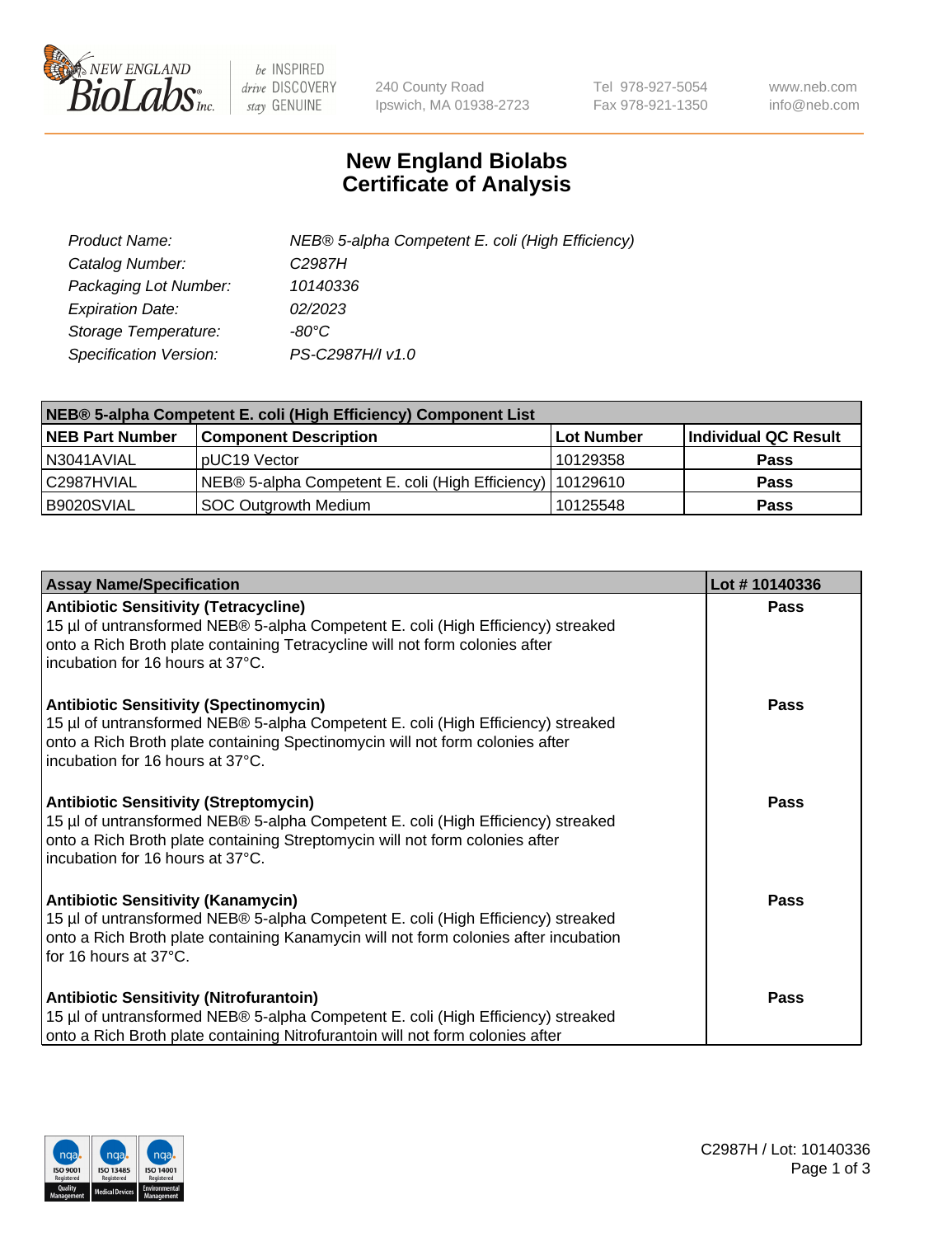

 $be$  INSPIRED drive DISCOVERY stay GENUINE

240 County Road Ipswich, MA 01938-2723 Tel 978-927-5054 Fax 978-921-1350 www.neb.com info@neb.com

## **New England Biolabs Certificate of Analysis**

| Product Name:           | NEB® 5-alpha Competent E. coli (High Efficiency) |
|-------------------------|--------------------------------------------------|
| Catalog Number:         | C <sub>2987</sub> H                              |
| Packaging Lot Number:   | 10140336                                         |
| <b>Expiration Date:</b> | 02/2023                                          |
| Storage Temperature:    | -80°C                                            |
| Specification Version:  | PS-C2987H/I v1.0                                 |

| NEB® 5-alpha Competent E. coli (High Efficiency) Component List |                                                             |                   |                      |  |
|-----------------------------------------------------------------|-------------------------------------------------------------|-------------------|----------------------|--|
| <b>NEB Part Number</b>                                          | <b>Component Description</b>                                | <b>Lot Number</b> | Individual QC Result |  |
| N3041AVIAL                                                      | pUC19 Vector                                                | 10129358          | <b>Pass</b>          |  |
| C2987HVIAL                                                      | NEB® 5-alpha Competent E. coli (High Efficiency)   10129610 |                   | <b>Pass</b>          |  |
| B9020SVIAL                                                      | SOC Outgrowth Medium                                        | 10125548          | <b>Pass</b>          |  |

| <b>Assay Name/Specification</b>                                                                                                                                                                                                                        | Lot #10140336 |
|--------------------------------------------------------------------------------------------------------------------------------------------------------------------------------------------------------------------------------------------------------|---------------|
| <b>Antibiotic Sensitivity (Tetracycline)</b><br>15 µl of untransformed NEB® 5-alpha Competent E. coli (High Efficiency) streaked<br>onto a Rich Broth plate containing Tetracycline will not form colonies after<br>incubation for 16 hours at 37°C.   | Pass          |
| <b>Antibiotic Sensitivity (Spectinomycin)</b><br>15 µl of untransformed NEB® 5-alpha Competent E. coli (High Efficiency) streaked<br>onto a Rich Broth plate containing Spectinomycin will not form colonies after<br>incubation for 16 hours at 37°C. | Pass          |
| <b>Antibiotic Sensitivity (Streptomycin)</b><br>15 µl of untransformed NEB® 5-alpha Competent E. coli (High Efficiency) streaked<br>onto a Rich Broth plate containing Streptomycin will not form colonies after<br>incubation for 16 hours at 37°C.   | Pass          |
| <b>Antibiotic Sensitivity (Kanamycin)</b><br>15 µl of untransformed NEB® 5-alpha Competent E. coli (High Efficiency) streaked<br>onto a Rich Broth plate containing Kanamycin will not form colonies after incubation<br>for 16 hours at 37°C.         | Pass          |
| <b>Antibiotic Sensitivity (Nitrofurantoin)</b><br>15 µl of untransformed NEB® 5-alpha Competent E. coli (High Efficiency) streaked<br>onto a Rich Broth plate containing Nitrofurantoin will not form colonies after                                   | Pass          |

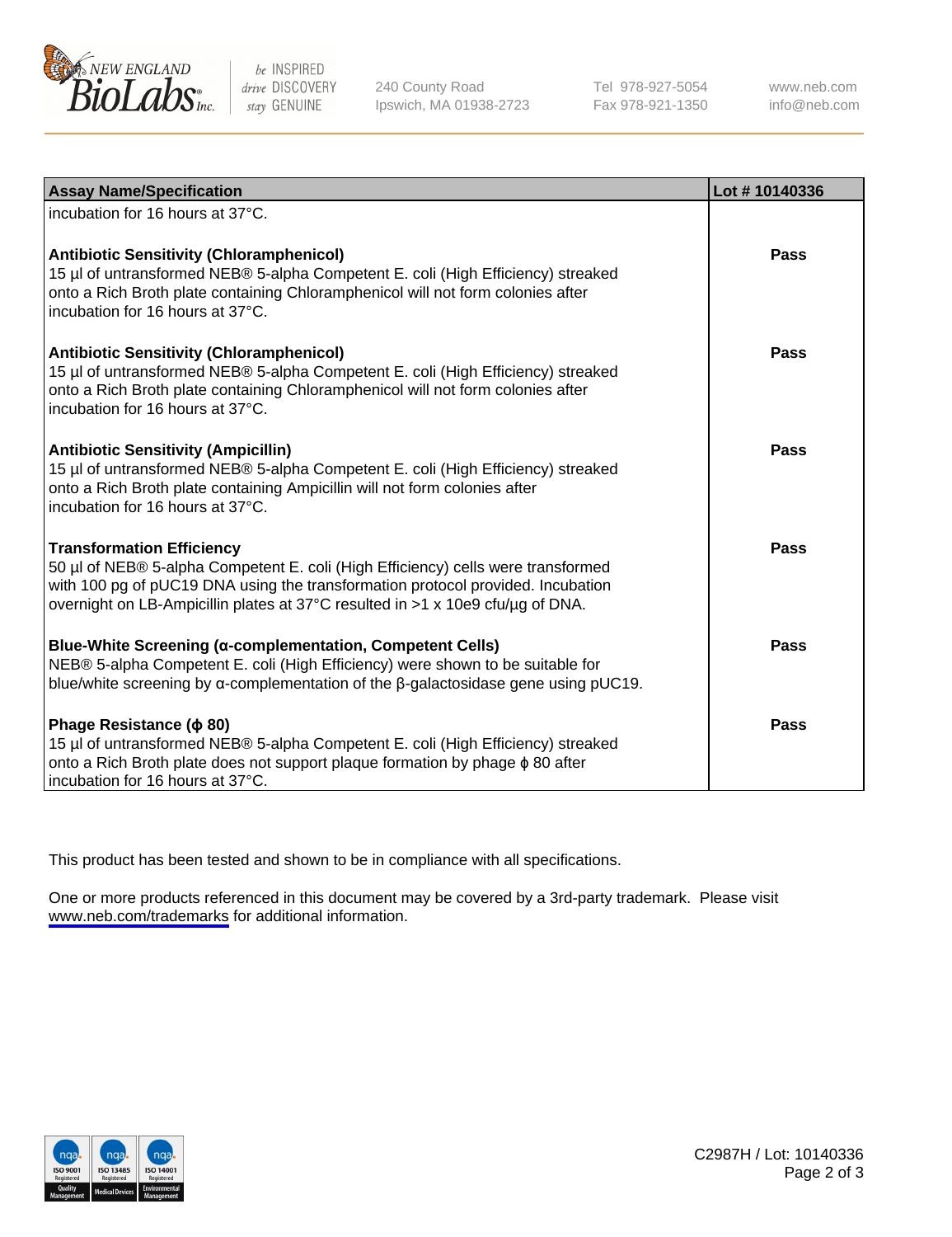

be INSPIRED drive DISCOVERY stay GENUINE

240 County Road Ipswich, MA 01938-2723 Tel 978-927-5054 Fax 978-921-1350

www.neb.com info@neb.com

| <b>Assay Name/Specification</b>                                                                                                                                                                                                                                                           | Lot #10140336 |
|-------------------------------------------------------------------------------------------------------------------------------------------------------------------------------------------------------------------------------------------------------------------------------------------|---------------|
| incubation for 16 hours at 37°C.                                                                                                                                                                                                                                                          |               |
| <b>Antibiotic Sensitivity (Chloramphenicol)</b><br>15 µl of untransformed NEB® 5-alpha Competent E. coli (High Efficiency) streaked<br>onto a Rich Broth plate containing Chloramphenicol will not form colonies after<br>incubation for 16 hours at 37°C.                                | <b>Pass</b>   |
| <b>Antibiotic Sensitivity (Chloramphenicol)</b><br>15 µl of untransformed NEB® 5-alpha Competent E. coli (High Efficiency) streaked<br>onto a Rich Broth plate containing Chloramphenicol will not form colonies after<br>incubation for 16 hours at 37°C.                                | Pass          |
| <b>Antibiotic Sensitivity (Ampicillin)</b><br>15 µl of untransformed NEB® 5-alpha Competent E. coli (High Efficiency) streaked<br>onto a Rich Broth plate containing Ampicillin will not form colonies after<br>incubation for 16 hours at 37°C.                                          | Pass          |
| <b>Transformation Efficiency</b><br>50 µl of NEB® 5-alpha Competent E. coli (High Efficiency) cells were transformed<br>with 100 pg of pUC19 DNA using the transformation protocol provided. Incubation<br>overnight on LB-Ampicillin plates at 37°C resulted in >1 x 10e9 cfu/µg of DNA. | <b>Pass</b>   |
| Blue-White Screening (α-complementation, Competent Cells)<br>NEB® 5-alpha Competent E. coli (High Efficiency) were shown to be suitable for<br>blue/white screening by $\alpha$ -complementation of the $\beta$ -galactosidase gene using pUC19.                                          | <b>Pass</b>   |
| Phage Resistance ( $\phi$ 80)<br>15 µl of untransformed NEB® 5-alpha Competent E. coli (High Efficiency) streaked<br>onto a Rich Broth plate does not support plaque formation by phage $\phi$ 80 after<br>incubation for 16 hours at 37°C.                                               | Pass          |

This product has been tested and shown to be in compliance with all specifications.

One or more products referenced in this document may be covered by a 3rd-party trademark. Please visit <www.neb.com/trademarks>for additional information.